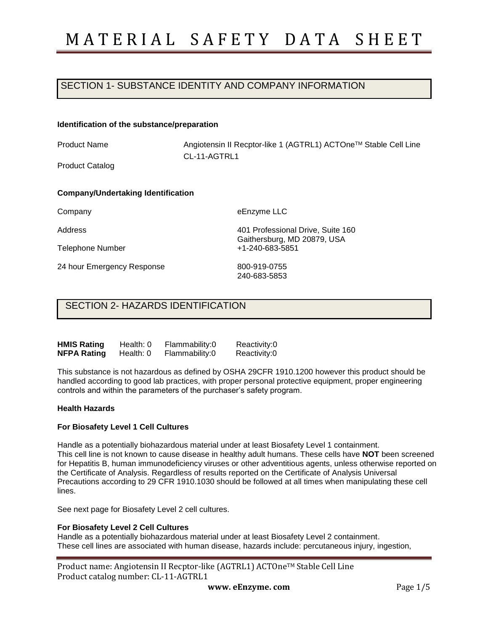## SECTION 1- SUBSTANCE IDENTITY AND COMPANY INFORMATION

#### **Identification of the substance/preparation**

Product Name

Angiotensin II Recptor-like 1 (AGTRL1) ACTOneTM Stable Cell Line CL-11-AGTRL1

Product Catalog

### **Company/Undertaking Identification**

Company

Address

Telephone Number

24 hour Emergency Response

eEnzyme LLC

401 Professional Drive, Suite 160 Gaithersburg, MD 20879, USA +1-240-683-5851

800-919-0755 240-683-5853

### SECTION 2- HAZARDS IDENTIFICATION

| <b>HMIS Rating</b> | Health: 0 | Flammability:0 | Reactivity:0 |
|--------------------|-----------|----------------|--------------|
| <b>NFPA Rating</b> | Health: 0 | Flammability:0 | Reactivity:0 |

This substance is not hazardous as defined by OSHA 29CFR 1910.1200 however this product should be handled according to good lab practices, with proper personal protective equipment, proper engineering controls and within the parameters of the purchaser's safety program.

### **Health Hazards**

### **For Biosafety Level 1 Cell Cultures**

Handle as a potentially biohazardous material under at least Biosafety Level 1 containment. This cell line is not known to cause disease in healthy adult humans. These cells have **NOT** been screened for Hepatitis B, human immunodeficiency viruses or other adventitious agents, unless otherwise reported on the Certificate of Analysis. Regardless of results reported on the Certificate of Analysis Universal Precautions according to 29 CFR 1910.1030 should be followed at all times when manipulating these cell lines.

See next page for Biosafety Level 2 cell cultures.

### **For Biosafety Level 2 Cell Cultures**

Handle as a potentially biohazardous material under at least Biosafety Level 2 containment. These cell lines are associated with human disease, hazards include: percutaneous injury, ingestion,

| Product name: Angiotensin II Recptor-like (AGTRL1) ACTOne™ Stable Cell Line |
|-----------------------------------------------------------------------------|
| Product catalog number: CL-11-AGTRL1                                        |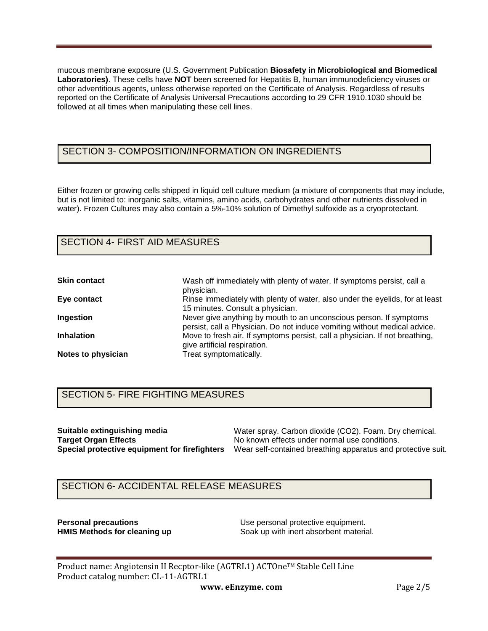mucous membrane exposure (U.S. Government Publication **Biosafety in Microbiological and Biomedical Laboratories)**. These cells have **NOT** been screened for Hepatitis B, human immunodeficiency viruses or other adventitious agents, unless otherwise reported on the Certificate of Analysis. Regardless of results reported on the Certificate of Analysis Universal Precautions according to 29 CFR 1910.1030 should be followed at all times when manipulating these cell lines.

## SECTION 3- COMPOSITION/INFORMATION ON INGREDIENTS

Either frozen or growing cells shipped in liquid cell culture medium (a mixture of components that may include, but is not limited to: inorganic salts, vitamins, amino acids, carbohydrates and other nutrients dissolved in water). Frozen Cultures may also contain a 5%-10% solution of Dimethyl sulfoxide as a cryoprotectant.

# SECTION 4- FIRST AID MEASURES

| <b>Skin contact</b> | Wash off immediately with plenty of water. If symptoms persist, call a<br>physician.                                                            |
|---------------------|-------------------------------------------------------------------------------------------------------------------------------------------------|
| Eye contact         | Rinse immediately with plenty of water, also under the eyelids, for at least<br>15 minutes. Consult a physician.                                |
| Ingestion           | Never give anything by mouth to an unconscious person. If symptoms<br>persist, call a Physician. Do not induce vomiting without medical advice. |
| <b>Inhalation</b>   | Move to fresh air. If symptoms persist, call a physician. If not breathing,<br>give artificial respiration.                                     |
| Notes to physician  | Treat symptomatically.                                                                                                                          |

## SECTION 5- FIRE FIGHTING MEASURES

**Suitable extinguishing media Target Organ Effects**

**Special protective equipment for firefighters**  Wear self-contained breathing apparatus and protective suit. Water spray. Carbon dioxide (CO2). Foam. Dry chemical. No known effects under normal use conditions.

## SECTION 6- ACCIDENTAL RELEASE MEASURES

**Personal precautions Example 20 Use personal protective equipment. HMIS Methods for cleaning up <b>S**oak up with inert absorbent material.

Product name: Angiotensin II Recptor-like (AGTRL1) ACTOne™ Stable Cell Line Product catalog number: CL-11-AGTRL1

**www. eEnzyme. com** Page 2/5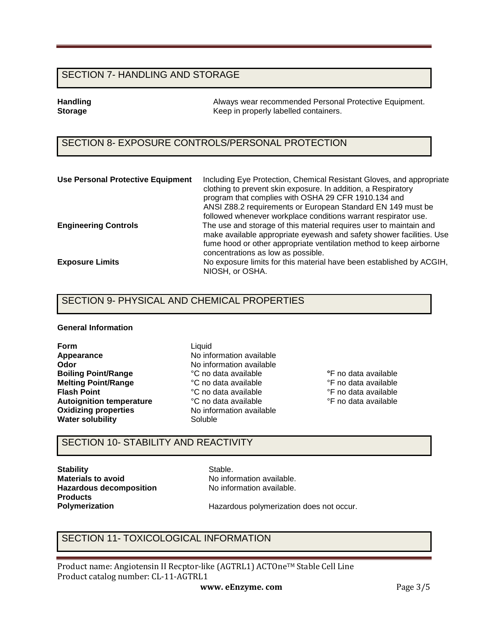### SECTION 7- HANDLING AND STORAGE

**Handling Tandling 1986** Always wear recommended Personal Protective Equipment.<br> **Storage** The Reep in properly labelled containers. **Storage** Keep in properly labelled containers.

## SECTION 8- EXPOSURE CONTROLS/PERSONAL PROTECTION

| <b>Use Personal Protective Equipment</b> | Including Eye Protection, Chemical Resistant Gloves, and appropriate<br>clothing to prevent skin exposure. In addition, a Respiratory<br>program that complies with OSHA 29 CFR 1910.134 and<br>ANSI Z88.2 requirements or European Standard EN 149 must be<br>followed whenever workplace conditions warrant respirator use. |
|------------------------------------------|-------------------------------------------------------------------------------------------------------------------------------------------------------------------------------------------------------------------------------------------------------------------------------------------------------------------------------|
| <b>Engineering Controls</b>              | The use and storage of this material requires user to maintain and<br>make available appropriate eyewash and safety shower facilities. Use<br>fume hood or other appropriate ventilation method to keep airborne<br>concentrations as low as possible.                                                                        |
| <b>Exposure Limits</b>                   | No exposure limits for this material have been established by ACGIH,<br>NIOSH, or OSHA.                                                                                                                                                                                                                                       |

### SECTION 9- PHYSICAL AND CHEMICAL PROPERTIES

### **General Information**

**Form Appearance Odor Boiling Point/Range Melting Point/Range Flash Point Autoignition temperature Oxidizing properties Water solubility**

Liquid No information available No information available °C no data available °C no data available °C no data available °C no data available No information available Soluble

**°**F no data available °F no data available °F no data available °F no data available

## SECTION 10- STABILITY AND REACTIVITY

**Stability Materials to avoid Hazardous decomposition Products Polymerization** 

Stable. No information available. No information available.

Hazardous polymerization does not occur.

## SECTION 11- TOXICOLOGICAL INFORMATION

Product name: Angiotensin II Recptor-like (AGTRL1) ACTOne™ Stable Cell Line Product catalog number: CL-11-AGTRL1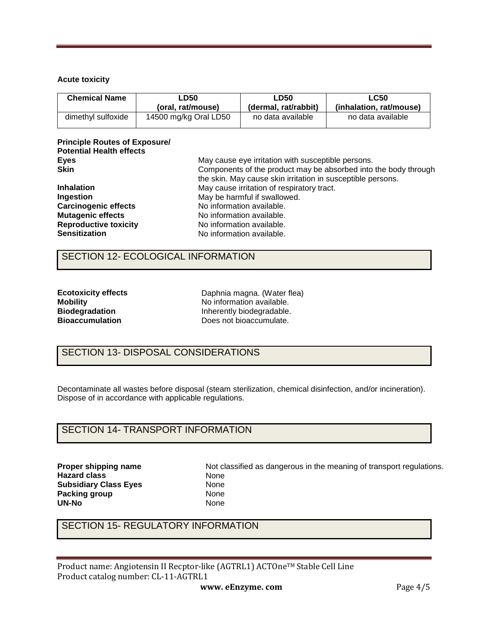### **Acute toxicity**

| <b>Chemical Name</b> | ∟D50                  | <b>LD50</b>          | LC50                    |  |
|----------------------|-----------------------|----------------------|-------------------------|--|
|                      | (oral. rat/mouse)     | (dermal, rat/rabbit) | (inhalation. rat/mouse) |  |
| dimethyl sulfoxide   | 14500 mg/kg Oral LD50 | no data available    | no data available       |  |

### **Principle Routes of Exposure/ Potential Health effects Eyes Skin**

| <b>Skin</b>                  | Components of the product may be absorbed into the body through |
|------------------------------|-----------------------------------------------------------------|
|                              | the skin. May cause skin irritation in susceptible persons.     |
| <b>Inhalation</b>            | May cause irritation of respiratory tract.                      |
| Ingestion                    | May be harmful if swallowed.                                    |
| <b>Carcinogenic effects</b>  | No information available.                                       |
| <b>Mutagenic effects</b>     | No information available.                                       |
| <b>Reproductive toxicity</b> | No information available.                                       |
| <b>Sensitization</b>         | No information available.                                       |
|                              |                                                                 |

May cause eye irritation with susceptible persons.

### SECTION 12- ECOLOGICAL INFORMATION

| <b>Ecotoxicity effects</b> |
|----------------------------|
| <b>Mobility</b>            |
| <b>Biodegradation</b>      |
| <b>Bioaccumulation</b>     |

Daphnia magna. (Water flea) No information available. Inherently biodegradable. Does not bioaccumulate.

# SECTION 13- DISPOSAL CONSIDERATIONS

Decontaminate all wastes before disposal (steam sterilization, chemical disinfection, and/or incineration). Dispose of in accordance with applicable regulations.

## SECTION 14- TRANSPORT INFORMATION

**Proper shipping name Hazard class Subsidiary Class Eyes Packing group UN-No** 

Not classified as dangerous in the meaning of transport regulations. None None None None

# SECTION 15- REGULATORY INFORMATION

Product name: Angiotensin II Recptor-like (AGTRL1) ACTOne™ Stable Cell Line Product catalog number: CL-11-AGTRL1